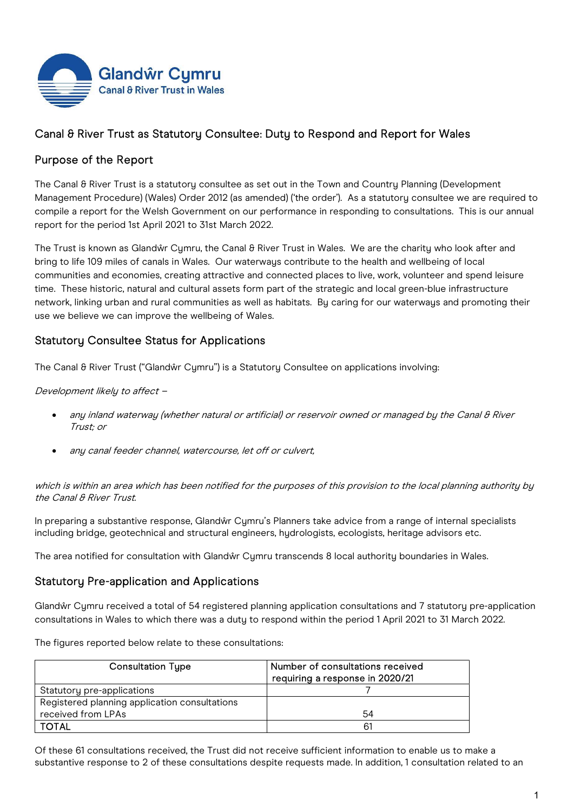

# Canal & River Trust as Statutory Consultee: Duty to Respond and Report for Wales

## Purpose of the Report

The Canal & River Trust is a statutory consultee as set out in the Town and Country Planning (Development Management Procedure) (Wales) Order 2012 (as amended) ('the order'). As a statutory consultee we are required to compile a report for the Welsh Government on our performance in responding to consultations. This is our annual report for the period 1st April 2021 to 31st March 2022.

The Trust is known as Glandŵr Cymru, the Canal & River Trust in Wales. We are the charity who look after and bring to life 109 miles of canals in Wales. Our waterways contribute to the health and wellbeing of local communities and economies, creating attractive and connected places to live, work, volunteer and spend leisure time. These historic, natural and cultural assets form part of the strategic and local green-blue infrastructure network, linking urban and rural communities as well as habitats. By caring for our waterways and promoting their use we believe we can improve the wellbeing of Wales.

### Statutory Consultee Status for Applications

The Canal & River Trust ("Glandŵr Cymru") is a Statutory Consultee on applications involving:

Development likely to affect –

- any inland waterway (whether natural or artificial) or reservoir owned or managed by the Canal & River Trust; or
- any canal feeder channel, watercourse, let off or culvert,

which is within an area which has been notified for the purposes of this provision to the local planning authority by the Canal & River Trust.

In preparing a substantive response, Glandŵr Cymru's Planners take advice from a range of internal specialists including bridge, geotechnical and structural engineers, hydrologists, ecologists, heritage advisors etc.

The area notified for consultation with Glandŵr Cymru transcends 8 local authority boundaries in Wales.

### Statutory Pre-application and Applications

Glandŵr Cymru received a total of 54 registered planning application consultations and 7 statutory pre-application consultations in Wales to which there was a duty to respond within the period 1 April 2021 to 31 March 2022.

The figures reported below relate to these consultations:

| <b>Consultation Type</b>                      | Number of consultations received<br>requiring a response in 2020/21 |
|-----------------------------------------------|---------------------------------------------------------------------|
| Statutory pre-applications                    |                                                                     |
| Registered planning application consultations |                                                                     |
| received from LPAs                            | 54                                                                  |
| <b>TOTAL</b>                                  |                                                                     |

Of these 61 consultations received, the Trust did not receive sufficient information to enable us to make a substantive response to 2 of these consultations despite requests made. In addition, 1 consultation related to an